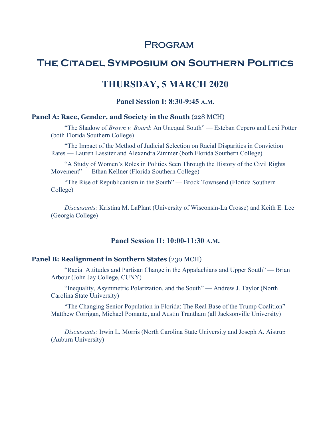# **PROGRAM**

# **The Citadel Symposium on Southern Politics**

## **THURSDAY, 5 MARCH 2020**

## **Panel Session I: 8:30-9:45 A.M.**

### **Panel A: Race, Gender, and Society in the South** (228 MCH)

"The Shadow of *Brown v. Board*: An Unequal South" — Esteban Cepero and Lexi Potter (both Florida Southern College)

"The Impact of the Method of Judicial Selection on Racial Disparities in Conviction Rates — Lauren Lassiter and Alexandra Zimmer (both Florida Southern College)

"A Study of Women's Roles in Politics Seen Through the History of the Civil Rights Movement" — Ethan Kellner (Florida Southern College)

"The Rise of Republicanism in the South" — Brock Townsend (Florida Southern College)

*Discussants:* Kristina M. LaPlant (University of Wisconsin-La Crosse) and Keith E. Lee (Georgia College)

## **Panel Session II: 10:00-11:30 A.M.**

#### **Panel B: Realignment in Southern States** (230 MCH)

"Racial Attitudes and Partisan Change in the Appalachians and Upper South" — Brian Arbour (John Jay College, CUNY)

"Inequality, Asymmetric Polarization, and the South" — Andrew J. Taylor (North Carolina State University)

"The Changing Senior Population in Florida: The Real Base of the Trump Coalition" — Matthew Corrigan, Michael Pomante, and Austin Trantham (all Jacksonville University)

*Discussants:* Irwin L. Morris (North Carolina State University and Joseph A. Aistrup (Auburn University)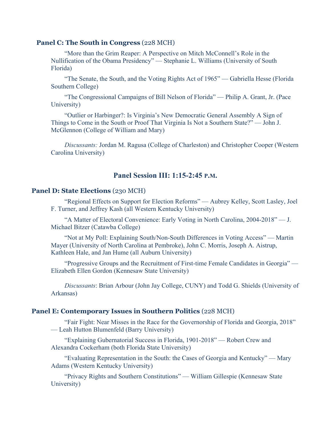#### **Panel C: The South in Congress** (228 MCH)

"More than the Grim Reaper: A Perspective on Mitch McConnell's Role in the Nullification of the Obama Presidency" — Stephanie L. Williams (University of South Florida)

"The Senate, the South, and the Voting Rights Act of 1965" — Gabriella Hesse (Florida Southern College)

"The Congressional Campaigns of Bill Nelson of Florida" — Philip A. Grant, Jr. (Pace University)

"Outlier or Harbinger?: Is Virginia's New Democratic General Assembly A Sign of Things to Come in the South or Proof That Virginia Is Not a Southern State?" — John J. McGlennon (College of William and Mary)

*Discussants:* Jordan M. Ragusa (College of Charleston) and Christopher Cooper (Western Carolina University)

## **Panel Session III: 1:15-2:45 P.M.**

### **Panel D: State Elections** (230 MCH)

"Regional Effects on Support for Election Reforms" — Aubrey Kelley, Scott Lasley, Joel F. Turner, and Jeffrey Kash (all Western Kentucky University)

"A Matter of Electoral Convenience: Early Voting in North Carolina, 2004-2018" — J. Michael Bitzer (Catawba College)

"Not at My Poll: Explaining South/Non-South Differences in Voting Access" — Martin Mayer (University of North Carolina at Pembroke), John C. Morris, Joseph A. Aistrup, Kathleen Hale, and Jan Hume (all Auburn University)

"Progressive Groups and the Recruitment of First-time Female Candidates in Georgia" — Elizabeth Ellen Gordon (Kennesaw State University)

*Discussants*: Brian Arbour (John Jay College, CUNY) and Todd G. Shields (University of Arkansas)

#### **Panel E: Contemporary Issues in Southern Politics** (228 MCH)

"Fair Fight: Near Misses in the Race for the Governorship of Florida and Georgia, 2018" — Leah Hutton Blumenfeld (Barry University)

"Explaining Gubernatorial Success in Florida, 1901-2018" — Robert Crew and Alexandra Cockerham (both Florida State University)

"Evaluating Representation in the South: the Cases of Georgia and Kentucky" — Mary Adams (Western Kentucky University)

"Privacy Rights and Southern Constitutions" — William Gillespie (Kennesaw State University)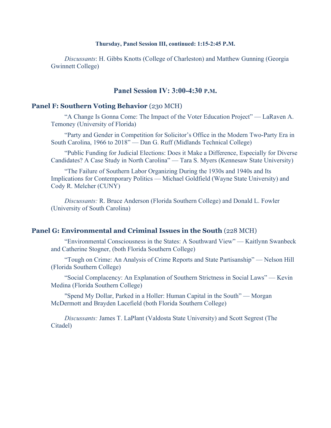#### **Thursday, Panel Session III, continued: 1:15-2:45 P.M.**

*Discussants*: H. Gibbs Knotts (College of Charleston) and Matthew Gunning (Georgia Gwinnett College)

## **Panel Session IV: 3:00-4:30 P.M.**

#### **Panel F: Southern Voting Behavior** (230 MCH)

"A Change Is Gonna Come: The Impact of the Voter Education Project" — LaRaven A. Temoney (University of Florida)

"Party and Gender in Competition for Solicitor's Office in the Modern Two-Party Era in South Carolina, 1966 to 2018" — Dan G. Ruff (Midlands Technical College)

"Public Funding for Judicial Elections: Does it Make a Difference, Especially for Diverse Candidates? A Case Study in North Carolina" — Tara S. Myers (Kennesaw State University)

"The Failure of Southern Labor Organizing During the 1930s and 1940s and Its Implications for Contemporary Politics — Michael Goldfield (Wayne State University) and Cody R. Melcher (CUNY)

*Discussants:* R. Bruce Anderson (Florida Southern College) and Donald L. Fowler (University of South Carolina)

#### **Panel G: Environmental and Criminal Issues in the South** (228 MCH)

"Environmental Consciousness in the States: A Southward View" — Kaitlynn Swanbeck and Catherine Stogner, (both Florida Southern College)

"Tough on Crime: An Analysis of Crime Reports and State Partisanship" — Nelson Hill (Florida Southern College)

"Social Complacency: An Explanation of Southern Strictness in Social Laws" — Kevin Medina (Florida Southern College)

"Spend My Dollar, Parked in a Holler: Human Capital in the South" — Morgan McDermott and Brayden Lacefield (both Florida Southern College)

*Discussants:* James T. LaPlant (Valdosta State University) and Scott Segrest (The Citadel)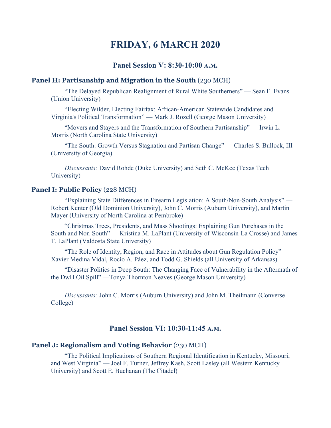# **FRIDAY, 6 MARCH 2020**

## **Panel Session V: 8:30-10:00 A.M.**

## **Panel H: Partisanship and Migration in the South** (230 MCH)

"The Delayed Republican Realignment of Rural White Southerners" — Sean F. Evans (Union University)

"Electing Wilder, Electing Fairfax: African-American Statewide Candidates and Virginia's Political Transformation" — Mark J. Rozell (George Mason University)

"Movers and Stayers and the Transformation of Southern Partisanship" — Irwin L. Morris (North Carolina State University)

"The South: Growth Versus Stagnation and Partisan Change" — Charles S. Bullock, III (University of Georgia)

*Discussants:* David Rohde (Duke University) and Seth C. McKee (Texas Tech University)

#### **Panel I: Public Policy** (228 MCH)

"Explaining State Differences in Firearm Legislation: A South/Non-South Analysis" — Robert Kenter (Old Dominion University), John C. Morris (Auburn University), and Martin Mayer (University of North Carolina at Pembroke)

"Christmas Trees, Presidents, and Mass Shootings: Explaining Gun Purchases in the South and Non-South" — Kristina M. LaPlant (University of Wisconsin-La Crosse) and James T. LaPlant (Valdosta State University)

"The Role of Identity, Region, and Race in Attitudes about Gun Regulation Policy" — Xavier Medina Vidal, Rocío A. Páez, and Todd G. Shields (all University of Arkansas)

"Disaster Politics in Deep South: The Changing Face of Vulnerability in the Aftermath of the DwH Oil Spill" —Tonya Thornton Neaves (George Mason University)

*Discussants:* John C. Morris (Auburn University) and John M. Theilmann (Converse College)

## **Panel Session VI: 10:30-11:45 A.M.**

#### **Panel J: Regionalism and Voting Behavior** (230 MCH)

"The Political Implications of Southern Regional Identification in Kentucky, Missouri, and West Virginia" — Joel F. Turner, Jeffrey Kash, Scott Lasley (all Western Kentucky University) and Scott E. Buchanan (The Citadel)